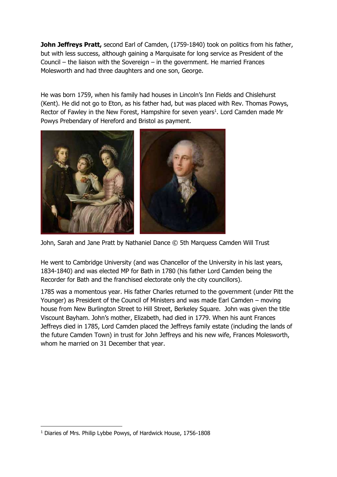**John Jeffreys Pratt,** second Earl of Camden, (1759-1840) took on politics from his father, but with less success, although gaining a Marquisate for long service as President of the Council – the liaison with the Sovereign – in the government. He married Frances Molesworth and had three daughters and one son, George.

He was born 1759, when his family had houses in Lincoln's Inn Fields and Chislehurst (Kent). He did not go to Eton, as his father had, but was placed with Rev. Thomas Powys, Rector of Fawley in the New Forest, Hampshire for seven years<sup>1</sup>. Lord Camden made Mr Powys Prebendary of Hereford and Bristol as payment.



John, Sarah and Jane Pratt by Nathaniel Dance © 5th Marquess Camden Will Trust

He went to Cambridge University (and was Chancellor of the University in his last years, 1834-1840) and was elected MP for Bath in 1780 (his father Lord Camden being the Recorder for Bath and the franchised electorate only the city councillors).

1785 was a momentous year. His father Charles returned to the government (under Pitt the Younger) as President of the Council of Ministers and was made Earl Camden – moving house from New Burlington Street to Hill Street, Berkeley Square. John was given the title Viscount Bayham. John's mother, Elizabeth, had died in 1779. When his aunt Frances Jeffreys died in 1785, Lord Camden placed the Jeffreys family estate (including the lands of the future Camden Town) in trust for John Jeffreys and his new wife, Frances Molesworth, whom he married on 31 December that year.

<sup>-</sup><sup>1</sup> Diaries of Mrs. Philip Lybbe Powys, of Hardwick House, 1756-1808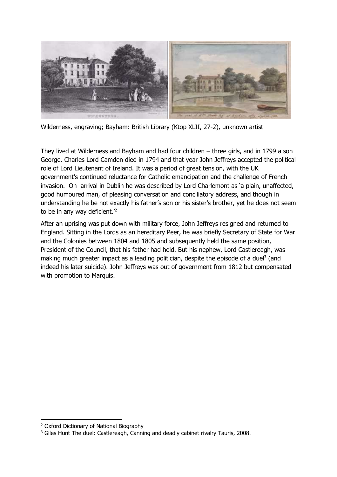

Wilderness, engraving; Bayham: British Library (Ktop XLII, 27-2), unknown artist

They lived at Wilderness and Bayham and had four children – three girls, and in 1799 a son George. Charles Lord Camden died in 1794 and that year John Jeffreys accepted the political role of Lord Lieutenant of Ireland. It was a period of great tension, with the UK government's continued reluctance for Catholic emancipation and the challenge of French invasion. On arrival in Dublin he was described by Lord Charlemont as 'a plain, unaffected, good humoured man, of pleasing conversation and conciliatory address, and though in understanding he be not exactly his father's son or his sister's brother, yet he does not seem to be in any way deficient.<sup>2</sup>

After an uprising was put down with military force, John Jeffreys resigned and returned to England. Sitting in the Lords as an hereditary Peer, he was briefly Secretary of State for War and the Colonies between 1804 and 1805 and subsequently held the same position, President of the Council, that his father had held. But his nephew, Lord Castlereagh, was making much greater impact as a leading politician, despite the episode of a duel<sup>3</sup> (and indeed his later suicide). John Jeffreys was out of government from 1812 but compensated with promotion to Marquis.

-

<sup>2</sup> Oxford Dictionary of National Biography

<sup>&</sup>lt;sup>3</sup> Giles Hunt The duel: Castlereagh, Canning and deadly cabinet rivalry Tauris, 2008.